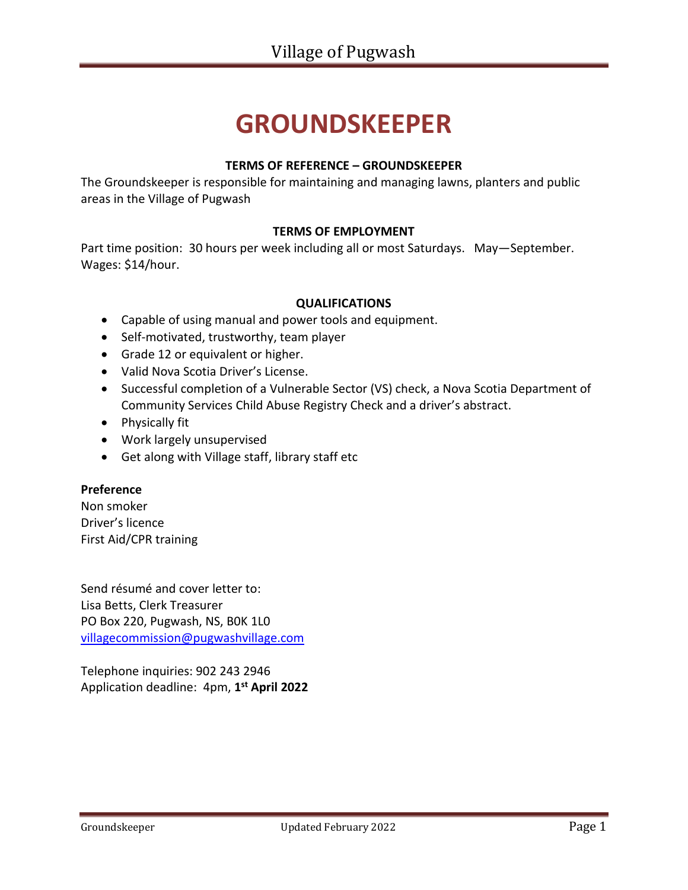# **GROUNDSKEEPER**

#### **TERMS OF REFERENCE – GROUNDSKEEPER**

The Groundskeeper is responsible for maintaining and managing lawns, planters and public areas in the Village of Pugwash

#### **TERMS OF EMPLOYMENT**

Part time position: 30 hours per week including all or most Saturdays. May—September. Wages: \$14/hour.

#### **QUALIFICATIONS**

- Capable of using manual and power tools and equipment.
- Self-motivated, trustworthy, team player
- Grade 12 or equivalent or higher.
- Valid Nova Scotia Driver's License.
- Successful completion of a Vulnerable Sector (VS) check, a Nova Scotia Department of Community Services Child Abuse Registry Check and a driver's abstract.
- Physically fit
- Work largely unsupervised
- Get along with Village staff, library staff etc

#### **Preference**

Non smoker Driver's licence First Aid/CPR training

Send résumé and cover letter to: Lisa Betts, Clerk Treasurer PO Box 220, Pugwash, NS, B0K 1L0 [villagecommission@pugwashvillage.com](mailto:villagecommission@pugwashvillage.com)

Telephone inquiries: 902 243 2946 Application deadline: 4pm, **1 st April 2022**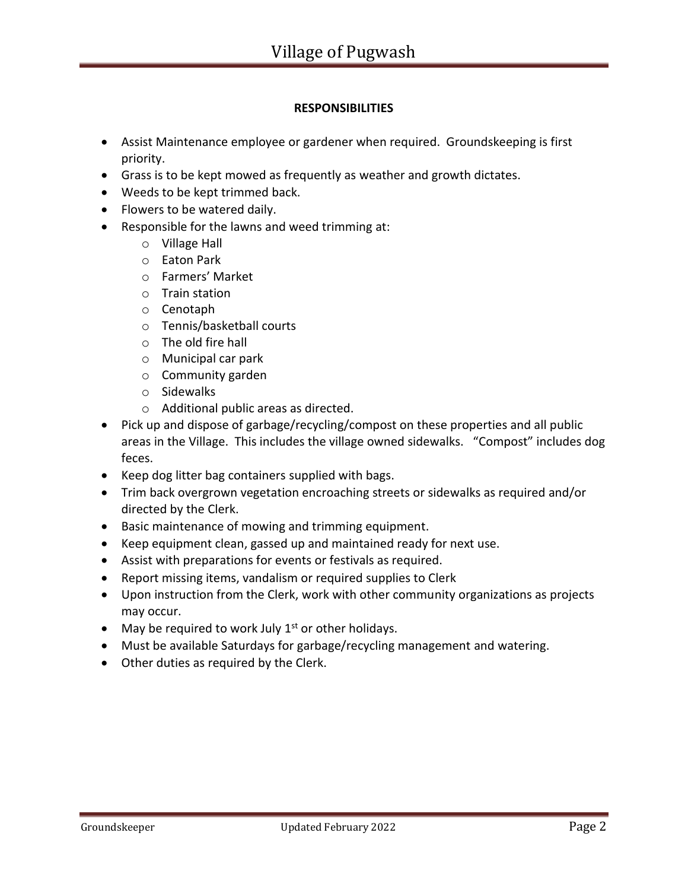### **RESPONSIBILITIES**

- Assist Maintenance employee or gardener when required. Groundskeeping is first priority.
- Grass is to be kept mowed as frequently as weather and growth dictates.
- Weeds to be kept trimmed back.
- Flowers to be watered daily.
- Responsible for the lawns and weed trimming at:
	- o Village Hall
	- o Eaton Park
	- o Farmers' Market
	- o Train station
	- o Cenotaph
	- o Tennis/basketball courts
	- o The old fire hall
	- o Municipal car park
	- o Community garden
	- o Sidewalks
	- o Additional public areas as directed.
- Pick up and dispose of garbage/recycling/compost on these properties and all public areas in the Village. This includes the village owned sidewalks. "Compost" includes dog feces.
- Keep dog litter bag containers supplied with bags.
- Trim back overgrown vegetation encroaching streets or sidewalks as required and/or directed by the Clerk.
- Basic maintenance of mowing and trimming equipment.
- Keep equipment clean, gassed up and maintained ready for next use.
- Assist with preparations for events or festivals as required.
- Report missing items, vandalism or required supplies to Clerk
- Upon instruction from the Clerk, work with other community organizations as projects may occur.
- May be required to work July  $1<sup>st</sup>$  or other holidays.
- Must be available Saturdays for garbage/recycling management and watering.
- Other duties as required by the Clerk.